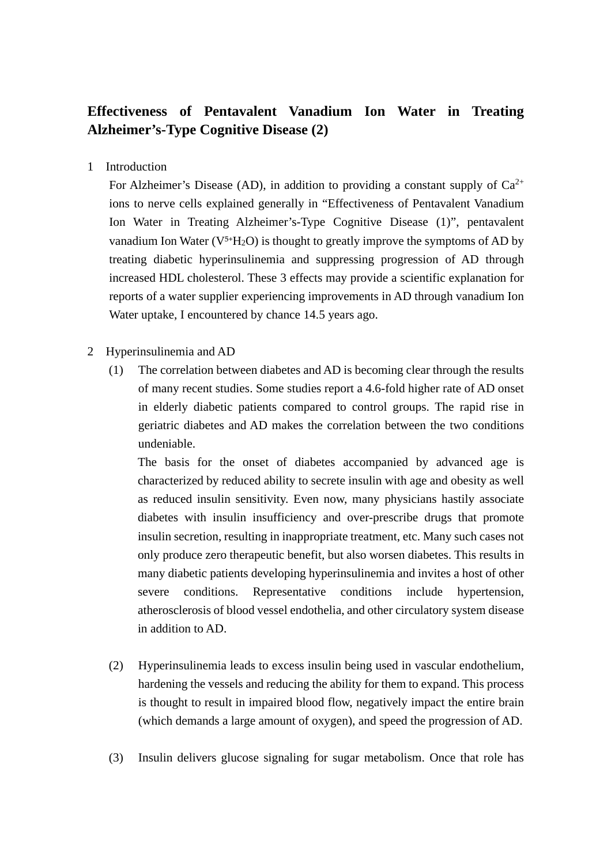## **Effectiveness of Pentavalent Vanadium Ion Water in Treating Alzheimer's-Type Cognitive Disease (2)**

1 Introduction

For Alzheimer's Disease (AD), in addition to providing a constant supply of  $Ca^{2+}$ ions to nerve cells explained generally in "Effectiveness of Pentavalent Vanadium Ion Water in Treating Alzheimer's-Type Cognitive Disease (1)", pentavalent vanadium Ion Water ( $V^{5+}H_2O$ ) is thought to greatly improve the symptoms of AD by treating diabetic hyperinsulinemia and suppressing progression of AD through increased HDL cholesterol. These 3 effects may provide a scientific explanation for reports of a water supplier experiencing improvements in AD through vanadium Ion Water uptake, I encountered by chance 14.5 years ago.

- 2 Hyperinsulinemia and AD
	- (1) The correlation between diabetes and AD is becoming clear through the results of many recent studies. Some studies report a 4.6-fold higher rate of AD onset in elderly diabetic patients compared to control groups. The rapid rise in geriatric diabetes and AD makes the correlation between the two conditions undeniable.

The basis for the onset of diabetes accompanied by advanced age is characterized by reduced ability to secrete insulin with age and obesity as well as reduced insulin sensitivity. Even now, many physicians hastily associate diabetes with insulin insufficiency and over-prescribe drugs that promote insulin secretion, resulting in inappropriate treatment, etc. Many such cases not only produce zero therapeutic benefit, but also worsen diabetes. This results in many diabetic patients developing hyperinsulinemia and invites a host of other severe conditions. Representative conditions include hypertension, atherosclerosis of blood vessel endothelia, and other circulatory system disease in addition to AD.

- (2) Hyperinsulinemia leads to excess insulin being used in vascular endothelium, hardening the vessels and reducing the ability for them to expand. This process is thought to result in impaired blood flow, negatively impact the entire brain (which demands a large amount of oxygen), and speed the progression of AD.
- (3) Insulin delivers glucose signaling for sugar metabolism. Once that role has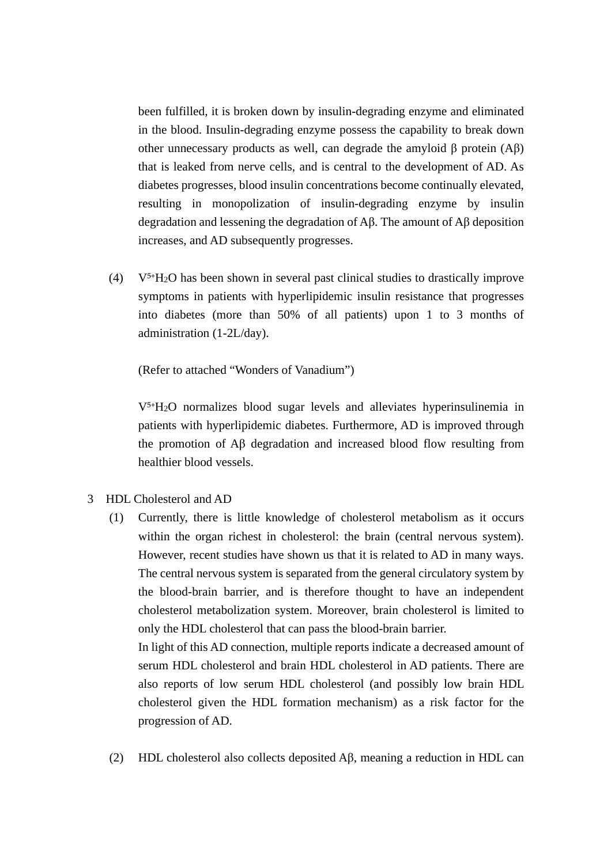been fulfilled, it is broken down by insulin-degrading enzyme and eliminated in the blood. Insulin-degrading enzyme possess the capability to break down other unnecessary products as well, can degrade the amyloid β protein  $(Aβ)$ that is leaked from nerve cells, and is central to the development of AD. As diabetes progresses, blood insulin concentrations become continually elevated, resulting in monopolization of insulin-degrading enzyme by insulin degradation and lessening the degradation of Aβ. The amount of Aβ deposition increases, and AD subsequently progresses.

(4)  $V^{5+}H_2O$  has been shown in several past clinical studies to drastically improve symptoms in patients with hyperlipidemic insulin resistance that progresses into diabetes (more than 50% of all patients) upon 1 to 3 months of administration (1-2L/day).

(Refer to attached "Wonders of Vanadium")

 $V<sup>5+</sup>H<sub>2</sub>O$  normalizes blood sugar levels and alleviates hyperinsulinemia in patients with hyperlipidemic diabetes. Furthermore, AD is improved through the promotion of Aβ degradation and increased blood flow resulting from healthier blood vessels.

- 3 HDL Cholesterol and AD
	- (1) Currently, there is little knowledge of cholesterol metabolism as it occurs within the organ richest in cholesterol: the brain (central nervous system). However, recent studies have shown us that it is related to AD in many ways. The central nervous system is separated from the general circulatory system by the blood-brain barrier, and is therefore thought to have an independent cholesterol metabolization system. Moreover, brain cholesterol is limited to only the HDL cholesterol that can pass the blood-brain barrier. In light of this AD connection, multiple reports indicate a decreased amount of

serum HDL cholesterol and brain HDL cholesterol in AD patients. There are also reports of low serum HDL cholesterol (and possibly low brain HDL cholesterol given the HDL formation mechanism) as a risk factor for the progression of AD.

(2) HDL cholesterol also collects deposited Aβ, meaning a reduction in HDL can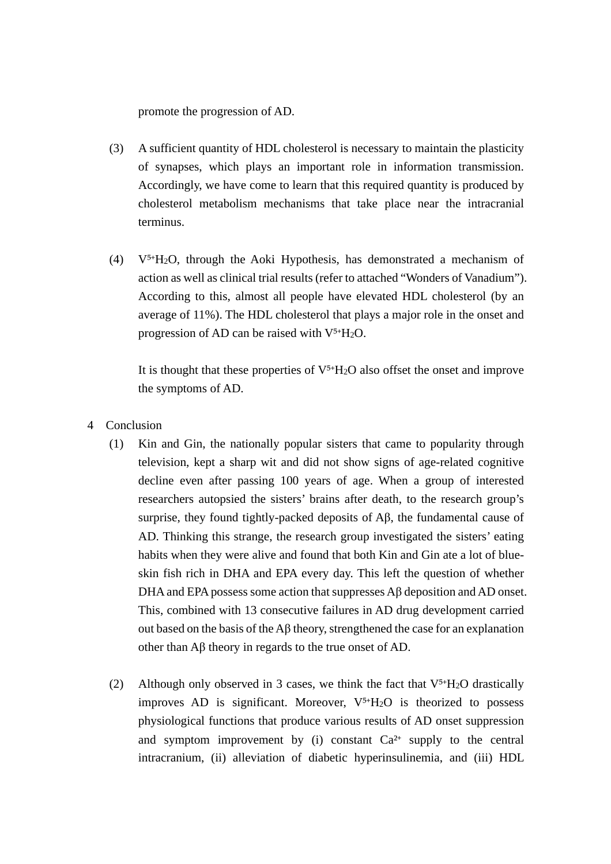promote the progression of AD.

- (3) A sufficient quantity of HDL cholesterol is necessary to maintain the plasticity of synapses, which plays an important role in information transmission. Accordingly, we have come to learn that this required quantity is produced by cholesterol metabolism mechanisms that take place near the intracranial terminus.
- (4)  $V^{5+}H_2O$ , through the Aoki Hypothesis, has demonstrated a mechanism of action as well as clinical trial results (refer to attached "Wonders of Vanadium"). According to this, almost all people have elevated HDL cholesterol (by an average of 11%). The HDL cholesterol that plays a major role in the onset and progression of AD can be raised with  $V^{5+}H_2O$ .

It is thought that these properties of  $V^{5+}H_2O$  also offset the onset and improve the symptoms of AD.

- 4 Conclusion
	- (1) Kin and Gin, the nationally popular sisters that came to popularity through television, kept a sharp wit and did not show signs of age-related cognitive decline even after passing 100 years of age. When a group of interested researchers autopsied the sisters' brains after death, to the research group's surprise, they found tightly-packed deposits of Aβ, the fundamental cause of AD. Thinking this strange, the research group investigated the sisters' eating habits when they were alive and found that both Kin and Gin ate a lot of blueskin fish rich in DHA and EPA every day. This left the question of whether DHA and EPA possess some action that suppresses Aβ deposition and AD onset. This, combined with 13 consecutive failures in AD drug development carried out based on the basis of the Aβ theory, strengthened the case for an explanation other than Aβ theory in regards to the true onset of AD.
	- (2) Although only observed in 3 cases, we think the fact that  $V^{5+}H_2O$  drastically improves AD is significant. Moreover,  $V^{5+}H_2O$  is theorized to possess physiological functions that produce various results of AD onset suppression and symptom improvement by (i) constant  $Ca^{2+}$  supply to the central intracranium, (ii) alleviation of diabetic hyperinsulinemia, and (iii) HDL